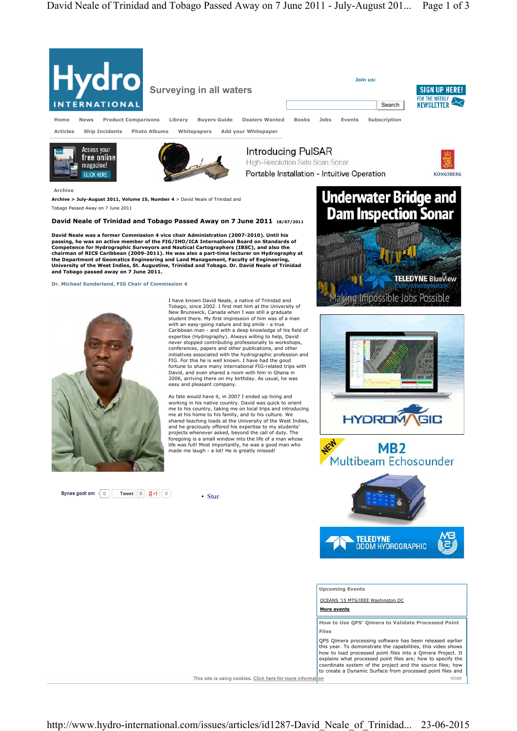

This site is using cookies. Click here for more information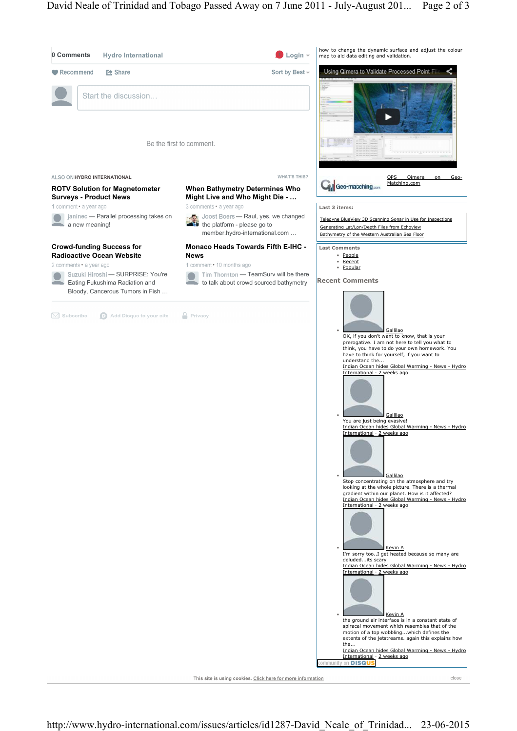

This site is using cookies. Click here for more information